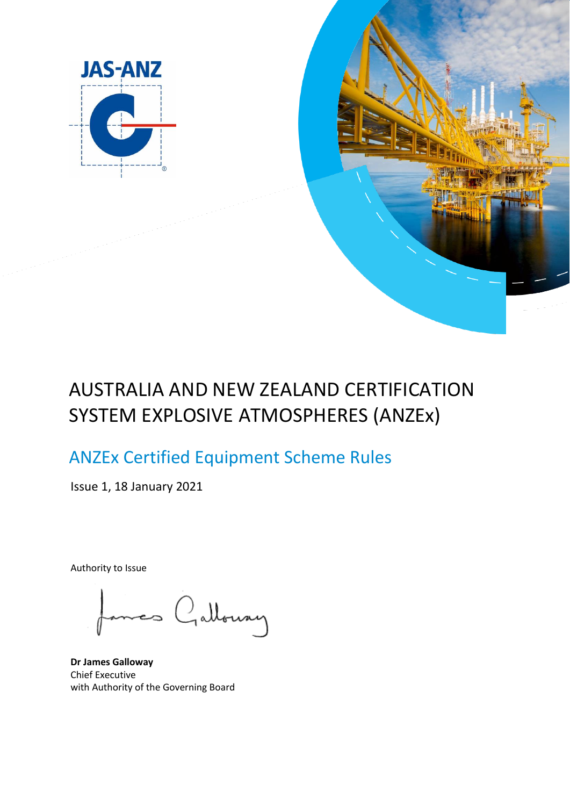



# AUSTRALIA AND NEW ZEALAND CERTIFICATION SYSTEM EXPLOSIVE ATMOSPHERES (ANZEx)

# ANZEx Certified Equipment Scheme Rules

Issue 1, 18 January 2021

Authority to Issue

mes Galloway

**Dr James Galloway** Chief Executive with Authority of the Governing Board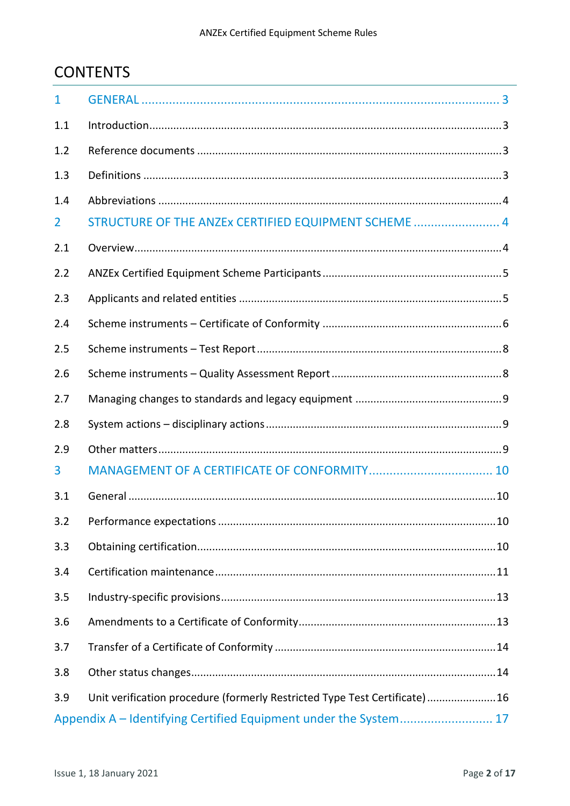# **CONTENTS**

| $\mathbf{1}$   |                                                                           |
|----------------|---------------------------------------------------------------------------|
| 1.1            |                                                                           |
| 1.2            |                                                                           |
| 1.3            |                                                                           |
| 1.4            |                                                                           |
| $\overline{2}$ | STRUCTURE OF THE ANZEX CERTIFIED EQUIPMENT SCHEME  4                      |
| 2.1            |                                                                           |
| 2.2            |                                                                           |
| 2.3            |                                                                           |
| 2.4            |                                                                           |
| 2.5            |                                                                           |
| 2.6            |                                                                           |
| 2.7            |                                                                           |
|                |                                                                           |
| 2.8            |                                                                           |
| 2.9            |                                                                           |
| 3              |                                                                           |
| 3.1            |                                                                           |
|                |                                                                           |
| 3.3            |                                                                           |
| 3.4            |                                                                           |
| 3.5            |                                                                           |
| 3.6            |                                                                           |
| 3.7            |                                                                           |
| 3.8            |                                                                           |
| 3.9            | Unit verification procedure (formerly Restricted Type Test Certificate)16 |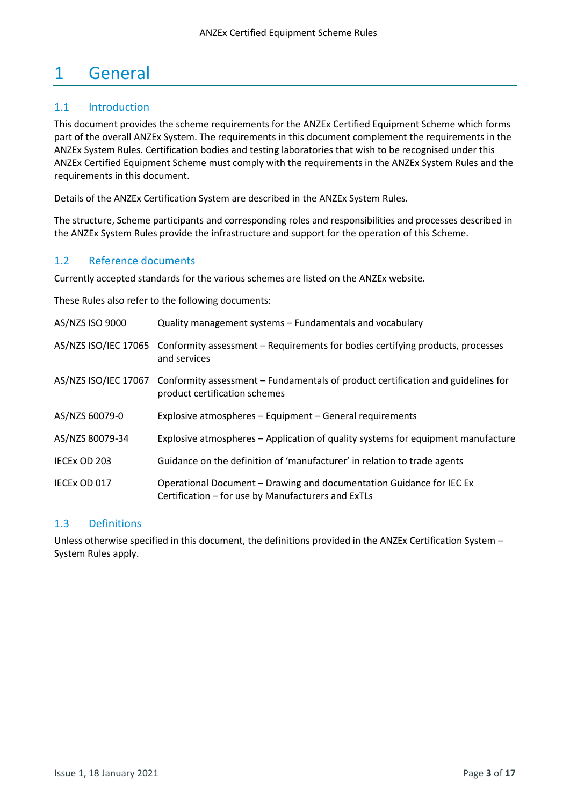# <span id="page-2-0"></span>1 General

## <span id="page-2-1"></span>1.1 Introduction

This document provides the scheme requirements for the ANZEx Certified Equipment Scheme which forms part of the overall ANZEx System. The requirements in this document complement the requirements in the ANZEx System Rules. Certification bodies and testing laboratories that wish to be recognised under this ANZEx Certified Equipment Scheme must comply with the requirements in the ANZEx System Rules and the requirements in this document.

Details of the ANZEx Certification System are described in the ANZEx System Rules.

The structure, Scheme participants and corresponding roles and responsibilities and processes described in the ANZEx System Rules provide the infrastructure and support for the operation of this Scheme.

## <span id="page-2-2"></span>1.2 Reference documents

Currently accepted standards for the various schemes are listed on the ANZEx website.

These Rules also refer to the following documents:

| AS/NZS ISO 9000      | Quality management systems – Fundamentals and vocabulary                                                                   |
|----------------------|----------------------------------------------------------------------------------------------------------------------------|
| AS/NZS ISO/IEC 17065 | Conformity assessment – Requirements for bodies certifying products, processes<br>and services                             |
| AS/NZS ISO/IEC 17067 | Conformity assessment – Fundamentals of product certification and guidelines for<br>product certification schemes          |
| AS/NZS 60079-0       | Explosive atmospheres - Equipment - General requirements                                                                   |
| AS/NZS 80079-34      | Explosive atmospheres – Application of quality systems for equipment manufacture                                           |
| IECEX OD 203         | Guidance on the definition of 'manufacturer' in relation to trade agents                                                   |
| IECEX OD 017         | Operational Document - Drawing and documentation Guidance for IEC Ex<br>Certification – for use by Manufacturers and ExTLs |

## <span id="page-2-3"></span>1.3 Definitions

<span id="page-2-4"></span>Unless otherwise specified in this document, the definitions provided in the ANZEx Certification System – System Rules apply.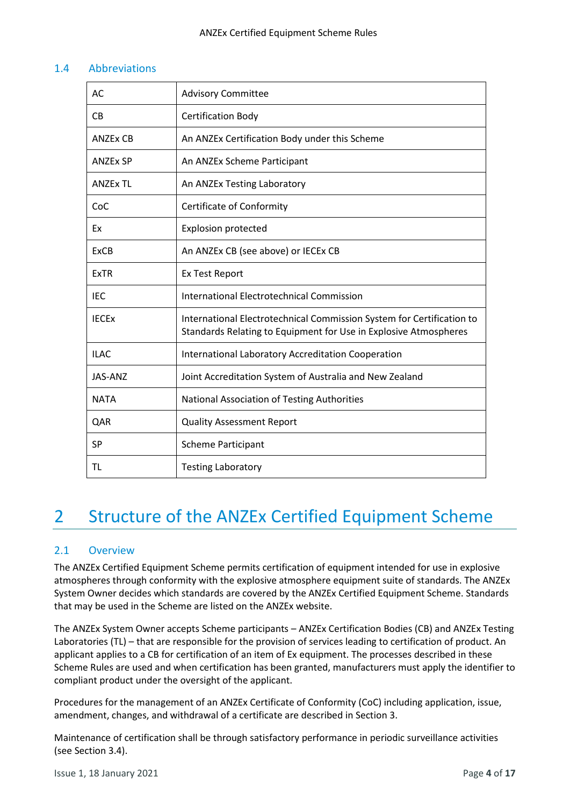## 1.4 Abbreviations

| AC              | <b>Advisory Committee</b>                                                                                                                 |
|-----------------|-------------------------------------------------------------------------------------------------------------------------------------------|
| <b>CB</b>       | <b>Certification Body</b>                                                                                                                 |
| <b>ANZEX CB</b> | An ANZEx Certification Body under this Scheme                                                                                             |
| <b>ANZEX SP</b> | An ANZEx Scheme Participant                                                                                                               |
| <b>ANZEX TL</b> | An ANZEx Testing Laboratory                                                                                                               |
| CoC             | Certificate of Conformity                                                                                                                 |
| Ex              | <b>Explosion protected</b>                                                                                                                |
| <b>ExCB</b>     | An ANZEx CB (see above) or IECEx CB                                                                                                       |
| <b>ExTR</b>     | <b>Ex Test Report</b>                                                                                                                     |
| <b>IEC</b>      | <b>International Electrotechnical Commission</b>                                                                                          |
| <b>IECEX</b>    | International Electrotechnical Commission System for Certification to<br>Standards Relating to Equipment for Use in Explosive Atmospheres |
| <b>ILAC</b>     | <b>International Laboratory Accreditation Cooperation</b>                                                                                 |
| JAS-ANZ         | Joint Accreditation System of Australia and New Zealand                                                                                   |
| <b>NATA</b>     | National Association of Testing Authorities                                                                                               |
| QAR             | <b>Quality Assessment Report</b>                                                                                                          |
| <b>SP</b>       | <b>Scheme Participant</b>                                                                                                                 |
| TL              | <b>Testing Laboratory</b>                                                                                                                 |

# <span id="page-3-0"></span>2 Structure of the ANZEx Certified Equipment Scheme

## <span id="page-3-1"></span>2.1 Overview

The ANZEx Certified Equipment Scheme permits certification of equipment intended for use in explosive atmospheres through conformity with the explosive atmosphere equipment suite of standards. The ANZEx System Owner decides which standards are covered by the ANZEx Certified Equipment Scheme. Standards that may be used in the Scheme are listed on the ANZEx website.

The ANZEx System Owner accepts Scheme participants – ANZEx Certification Bodies (CB) and ANZEx Testing Laboratories (TL) – that are responsible for the provision of services leading to certification of product. An applicant applies to a CB for certification of an item of Ex equipment. The processes described in these Scheme Rules are used and when certification has been granted, manufacturers must apply the identifier to compliant product under the oversight of the applicant.

Procedures for the management of an ANZEx Certificate of Conformity (CoC) including application, issue, amendment, changes, and withdrawal of a certificate are described in Section 3.

Maintenance of certification shall be through satisfactory performance in periodic surveillance activities (see Section 3.4).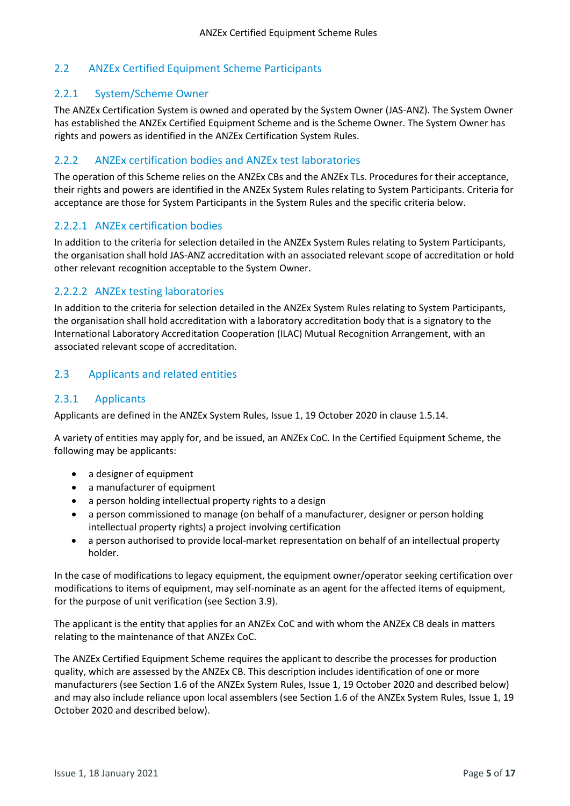# <span id="page-4-0"></span>2.2 ANZEx Certified Equipment Scheme Participants

## 2.2.1 System/Scheme Owner

The ANZEx Certification System is owned and operated by the System Owner (JAS-ANZ). The System Owner has established the ANZEx Certified Equipment Scheme and is the Scheme Owner. The System Owner has rights and powers as identified in the ANZEx Certification System Rules.

## 2.2.2 ANZEx certification bodies and ANZEx test laboratories

The operation of this Scheme relies on the ANZEx CBs and the ANZEx TLs. Procedures for their acceptance, their rights and powers are identified in the ANZEx System Rules relating to System Participants. Criteria for acceptance are those for System Participants in the System Rules and the specific criteria below.

## 2.2.2.1 ANZEx certification bodies

In addition to the criteria for selection detailed in the ANZEx System Rules relating to System Participants, the organisation shall hold JAS-ANZ accreditation with an associated relevant scope of accreditation or hold other relevant recognition acceptable to the System Owner.

## 2.2.2.2 ANZEx testing laboratories

In addition to the criteria for selection detailed in the ANZEx System Rules relating to System Participants, the organisation shall hold accreditation with a laboratory accreditation body that is a signatory to the International Laboratory Accreditation Cooperation (ILAC) Mutual Recognition Arrangement, with an associated relevant scope of accreditation.

## <span id="page-4-1"></span>2.3 Applicants and related entities

## 2.3.1 Applicants

Applicants are defined in the ANZEx System Rules, Issue 1, 19 October 2020 in clause 1.5.14.

A variety of entities may apply for, and be issued, an ANZEx CoC. In the Certified Equipment Scheme, the following may be applicants:

- a designer of equipment
- a manufacturer of equipment
- a person holding intellectual property rights to a design
- a person commissioned to manage (on behalf of a manufacturer, designer or person holding intellectual property rights) a project involving certification
- a person authorised to provide local-market representation on behalf of an intellectual property holder.

In the case of modifications to legacy equipment, the equipment owner/operator seeking certification over modifications to items of equipment, may self-nominate as an agent for the affected items of equipment, for the purpose of unit verification (see Section 3.9).

The applicant is the entity that applies for an ANZEx CoC and with whom the ANZEx CB deals in matters relating to the maintenance of that ANZEx CoC.

The ANZEx Certified Equipment Scheme requires the applicant to describe the processes for production quality, which are assessed by the ANZEx CB. This description includes identification of one or more manufacturers (see Section 1.6 of the ANZEx System Rules, Issue 1, 19 October 2020 and described below) and may also include reliance upon local assemblers (see Section 1.6 of the ANZEx System Rules, Issue 1, 19 October 2020 and described below).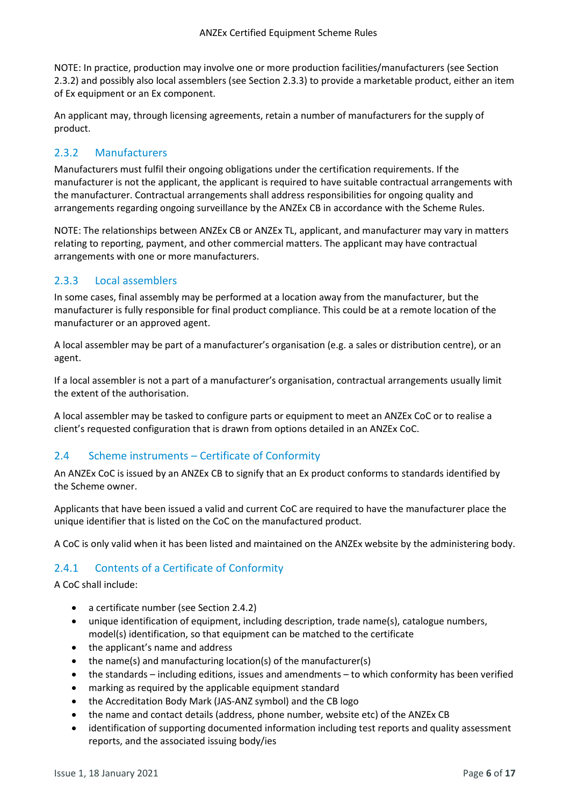NOTE: In practice, production may involve one or more production facilities/manufacturers (see Section 2.3.2) and possibly also local assemblers (see Section 2.3.3) to provide a marketable product, either an item of Ex equipment or an Ex component.

An applicant may, through licensing agreements, retain a number of manufacturers for the supply of product.

## 2.3.2 Manufacturers

Manufacturers must fulfil their ongoing obligations under the certification requirements. If the manufacturer is not the applicant, the applicant is required to have suitable contractual arrangements with the manufacturer. Contractual arrangements shall address responsibilities for ongoing quality and arrangements regarding ongoing surveillance by the ANZEx CB in accordance with the Scheme Rules.

NOTE: The relationships between ANZEx CB or ANZEx TL, applicant, and manufacturer may vary in matters relating to reporting, payment, and other commercial matters. The applicant may have contractual arrangements with one or more manufacturers.

## 2.3.3 Local assemblers

In some cases, final assembly may be performed at a location away from the manufacturer, but the manufacturer is fully responsible for final product compliance. This could be at a remote location of the manufacturer or an approved agent.

A local assembler may be part of a manufacturer's organisation (e.g. a sales or distribution centre), or an agent.

If a local assembler is not a part of a manufacturer's organisation, contractual arrangements usually limit the extent of the authorisation.

A local assembler may be tasked to configure parts or equipment to meet an ANZEx CoC or to realise a client's requested configuration that is drawn from options detailed in an ANZEx CoC.

# <span id="page-5-0"></span>2.4 Scheme instruments – Certificate of Conformity

An ANZEx CoC is issued by an ANZEx CB to signify that an Ex product conforms to standards identified by the Scheme owner.

Applicants that have been issued a valid and current CoC are required to have the manufacturer place the unique identifier that is listed on the CoC on the manufactured product.

A CoC is only valid when it has been listed and maintained on the ANZEx website by the administering body.

# 2.4.1 Contents of a Certificate of Conformity

A CoC shall include:

- a certificate number (see Section 2.4.2)
- unique identification of equipment, including description, trade name(s), catalogue numbers, model(s) identification, so that equipment can be matched to the certificate
- the applicant's name and address
- the name(s) and manufacturing location(s) of the manufacturer(s)
- the standards including editions, issues and amendments to which conformity has been verified
- marking as required by the applicable equipment standard
- the Accreditation Body Mark (JAS-ANZ symbol) and the CB logo
- the name and contact details (address, phone number, website etc) of the ANZEx CB
- identification of supporting documented information including test reports and quality assessment reports, and the associated issuing body/ies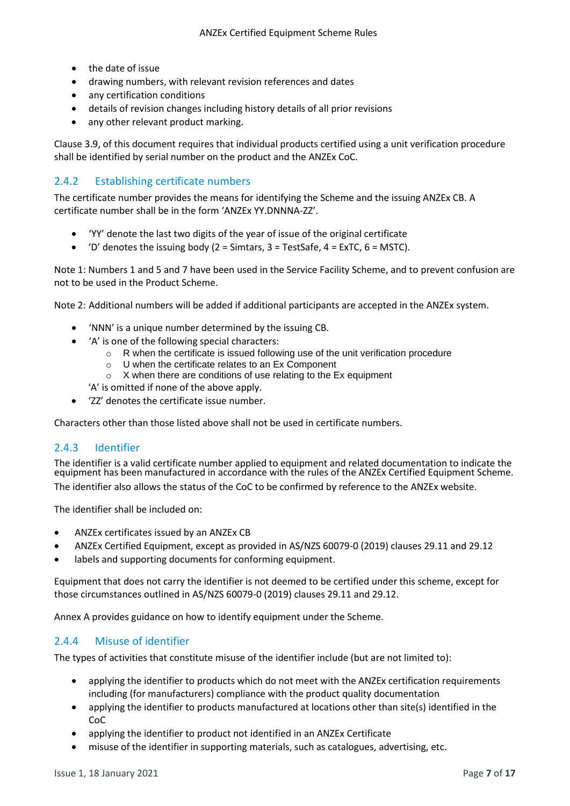- the date of issue
- drawing numbers, with relevant revision references and dates
- any certification conditions
- details of revision changes including history details of all prior revisions
- any other relevant product marking.

Clause 3.9, of this document requires that individual products certified using a unit verification procedure shall be identified by serial number on the product and the ANZEx CoC.

# 2.4.2 Establishing certificate numbers

The certificate number provides the means for identifying the Scheme and the issuing ANZEx CB. A certificate number shall be in the form 'ANZEx YY.DNNNA-ZZ'.

- 'YY' denote the last two digits of the year of issue of the original certificate
- $'D'$  denotes the issuing body (2 = Simtars, 3 = TestSafe, 4 = ExTC, 6 = MSTC).

Note 1: Numbers 1 and 5 and 7 have been used in the Service Facility Scheme, and to prevent confusion are not to be used in the Product Scheme.

Note 2: Additional numbers will be added if additional participants are accepted in the ANZEx system.

- 'NNN' is a unique number determined by the issuing CB.
- 'A' is one of the following special characters:
	- o R when the certificate is issued following use of the unit verification procedure
	- o U when the certificate relates to an Ex Component
	- o X when there are conditions of use relating to the Ex equipment
	- 'A' is omitted if none of the above apply.
- 'ZZ' denotes the certificate issue number.

Characters other than those listed above shall not be used in certificate numbers.

## 2.4.3 Identifier

The identifier is a valid certificate number applied to equipment and related documentation to indicate the equipment has been manufactured in accordance with the rules of the ANZEx Certified Equipment Scheme. The identifier also allows the status of the CoC to be confirmed by reference to the ANZEx website.

The identifier shall be included on:

- ANZEx certificates issued by an ANZEx CB
- ANZEx Certified Equipment, except as provided in AS/NZS 60079-0 (2019) clauses 29.11 and 29.12
- labels and supporting documents for conforming equipment.

Equipment that does not carry the identifier is not deemed to be certified under this scheme, except for those circumstances outlined in AS/NZS 60079-0 (2019) clauses 29.11 and 29.12.

Annex A provides guidance on how to identify equipment under the Scheme.

# 2.4.4 Misuse of identifier

The types of activities that constitute misuse of the identifier include (but are not limited to):

- applying the identifier to products which do not meet with the ANZEx certification requirements including (for manufacturers) compliance with the product quality documentation
- applying the identifier to products manufactured at locations other than site(s) identified in the CoC
- applying the identifier to product not identified in an ANZEx Certificate
- misuse of the identifier in supporting materials, such as catalogues, advertising, etc.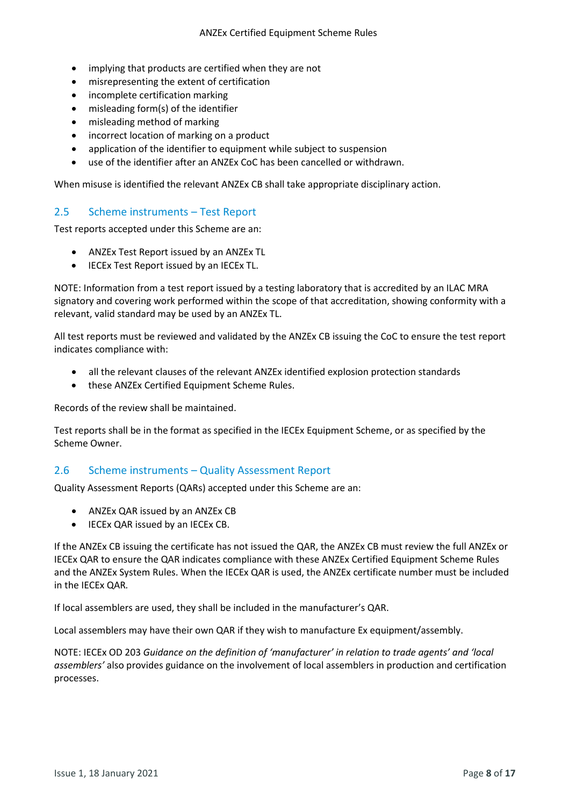- implying that products are certified when they are not
- misrepresenting the extent of certification
- incomplete certification marking
- misleading form(s) of the identifier
- misleading method of marking
- incorrect location of marking on a product
- application of the identifier to equipment while subject to suspension
- use of the identifier after an ANZEx CoC has been cancelled or withdrawn.

When misuse is identified the relevant ANZEx CB shall take appropriate disciplinary action.

## <span id="page-7-0"></span>2.5 Scheme instruments – Test Report

Test reports accepted under this Scheme are an:

- ANZEx Test Report issued by an ANZEx TL
- IECEx Test Report issued by an IECEx TL.

NOTE: Information from a test report issued by a testing laboratory that is accredited by an ILAC MRA signatory and covering work performed within the scope of that accreditation, showing conformity with a relevant, valid standard may be used by an ANZEx TL.

All test reports must be reviewed and validated by the ANZEx CB issuing the CoC to ensure the test report indicates compliance with:

- all the relevant clauses of the relevant ANZEx identified explosion protection standards
- these ANZEx Certified Equipment Scheme Rules.

Records of the review shall be maintained.

Test reports shall be in the format as specified in the IECEx Equipment Scheme, or as specified by the Scheme Owner.

#### <span id="page-7-1"></span>2.6 Scheme instruments – Quality Assessment Report

Quality Assessment Reports (QARs) accepted under this Scheme are an:

- ANZEx QAR issued by an ANZEx CB
- IECEx QAR issued by an IECEx CB.

If the ANZEx CB issuing the certificate has not issued the QAR, the ANZEx CB must review the full ANZEx or IECEx QAR to ensure the QAR indicates compliance with these ANZEx Certified Equipment Scheme Rules and the ANZEx System Rules. When the IECEx QAR is used, the ANZEx certificate number must be included in the IECEx QAR*.*

If local assemblers are used, they shall be included in the manufacturer's QAR.

Local assemblers may have their own QAR if they wish to manufacture Ex equipment/assembly.

NOTE: IECEx OD 203 *Guidance on the definition of 'manufacturer' in relation to trade agents' and 'local assemblers'* also provides guidance on the involvement of local assemblers in production and certification processes.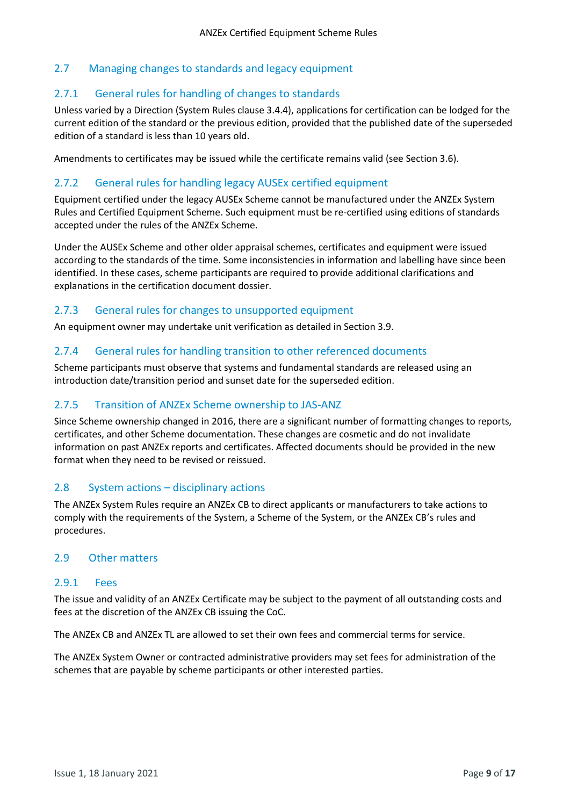## <span id="page-8-0"></span>2.7 Managing changes to standards and legacy equipment

## 2.7.1 General rules for handling of changes to standards

Unless varied by a Direction (System Rules clause 3.4.4), applications for certification can be lodged for the current edition of the standard or the previous edition, provided that the published date of the superseded edition of a standard is less than 10 years old.

Amendments to certificates may be issued while the certificate remains valid (see Section 3.6).

### 2.7.2 General rules for handling legacy AUSEx certified equipment

Equipment certified under the legacy AUSEx Scheme cannot be manufactured under the ANZEx System Rules and Certified Equipment Scheme. Such equipment must be re-certified using editions of standards accepted under the rules of the ANZEx Scheme.

Under the AUSEx Scheme and other older appraisal schemes, certificates and equipment were issued according to the standards of the time. Some inconsistencies in information and labelling have since been identified. In these cases, scheme participants are required to provide additional clarifications and explanations in the certification document dossier.

## 2.7.3 General rules for changes to unsupported equipment

An equipment owner may undertake unit verification as detailed in Section 3.9.

#### 2.7.4 General rules for handling transition to other referenced documents

Scheme participants must observe that systems and fundamental standards are released using an introduction date/transition period and sunset date for the superseded edition.

### 2.7.5 Transition of ANZEx Scheme ownership to JAS-ANZ

Since Scheme ownership changed in 2016, there are a significant number of formatting changes to reports, certificates, and other Scheme documentation. These changes are cosmetic and do not invalidate information on past ANZEx reports and certificates. Affected documents should be provided in the new format when they need to be revised or reissued.

#### <span id="page-8-1"></span>2.8 System actions – disciplinary actions

The ANZEx System Rules require an ANZEx CB to direct applicants or manufacturers to take actions to comply with the requirements of the System, a Scheme of the System, or the ANZEx CB's rules and procedures.

## <span id="page-8-2"></span>2.9 Other matters

#### 2.9.1 Fees

The issue and validity of an ANZEx Certificate may be subject to the payment of all outstanding costs and fees at the discretion of the ANZEx CB issuing the CoC.

The ANZEx CB and ANZEx TL are allowed to set their own fees and commercial terms for service.

The ANZEx System Owner or contracted administrative providers may set fees for administration of the schemes that are payable by scheme participants or other interested parties.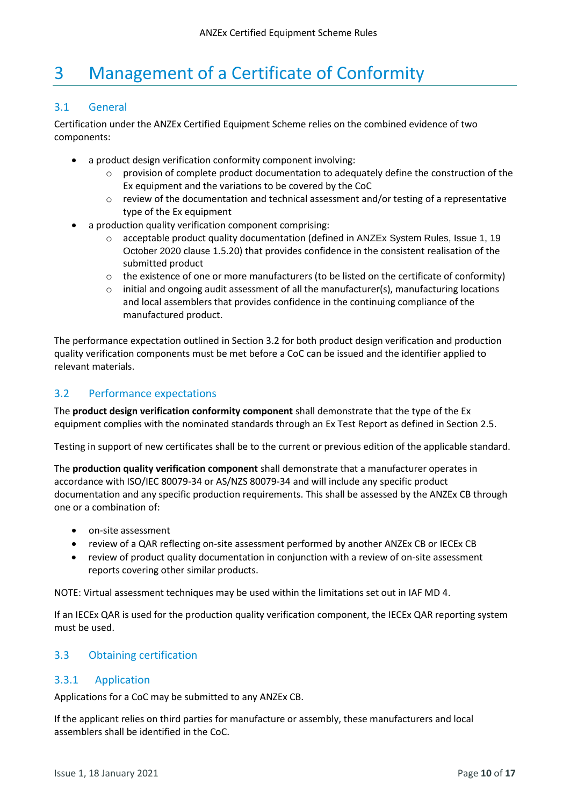# <span id="page-9-0"></span>3 Management of a Certificate of Conformity

## <span id="page-9-1"></span>3.1 General

Certification under the ANZEx Certified Equipment Scheme relies on the combined evidence of two components:

- a product design verification conformity component involving:
	- $\circ$  provision of complete product documentation to adequately define the construction of the Ex equipment and the variations to be covered by the CoC
	- $\circ$  review of the documentation and technical assessment and/or testing of a representative type of the Ex equipment
- a production quality verification component comprising:
	- o acceptable product quality documentation (defined in ANZEx System Rules, Issue 1, 19 October 2020 clause 1.5.20) that provides confidence in the consistent realisation of the submitted product
	- o the existence of one or more manufacturers (to be listed on the certificate of conformity)
	- $\circ$  initial and ongoing audit assessment of all the manufacturer(s), manufacturing locations and local assemblers that provides confidence in the continuing compliance of the manufactured product.

The performance expectation outlined in Section 3.2 for both product design verification and production quality verification components must be met before a CoC can be issued and the identifier applied to relevant materials.

## <span id="page-9-2"></span>3.2 Performance expectations

The **product design verification conformity component** shall demonstrate that the type of the Ex equipment complies with the nominated standards through an Ex Test Report as defined in Section 2.5.

Testing in support of new certificates shall be to the current or previous edition of the applicable standard.

The **production quality verification component** shall demonstrate that a manufacturer operates in accordance with ISO/IEC 80079-34 or AS/NZS 80079-34 and will include any specific product documentation and any specific production requirements. This shall be assessed by the ANZEx CB through one or a combination of:

- on-site assessment
- review of a QAR reflecting on-site assessment performed by another ANZEx CB or IECEx CB
- review of product quality documentation in conjunction with a review of on-site assessment reports covering other similar products.

NOTE: Virtual assessment techniques may be used within the limitations set out in IAF MD 4.

If an IECEx QAR is used for the production quality verification component, the IECEx QAR reporting system must be used.

## <span id="page-9-3"></span>3.3 Obtaining certification

## 3.3.1 Application

Applications for a CoC may be submitted to any ANZEx CB.

If the applicant relies on third parties for manufacture or assembly, these manufacturers and local assemblers shall be identified in the CoC.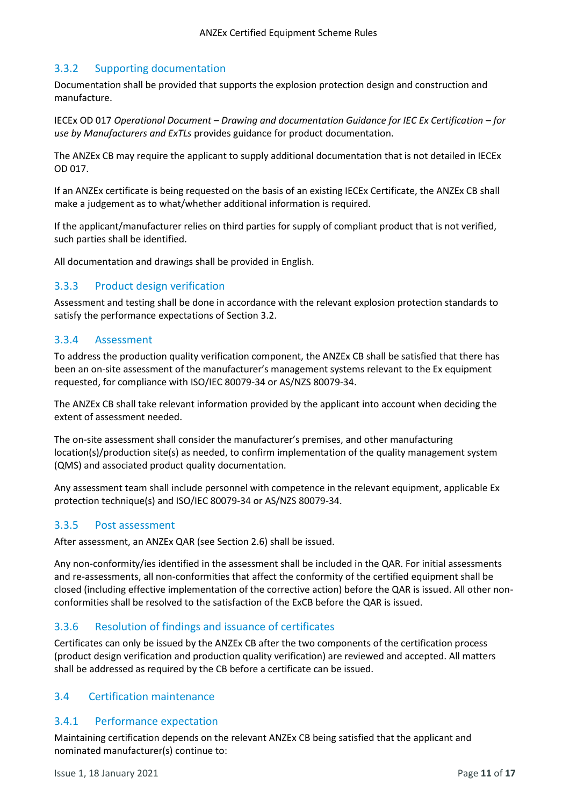# 3.3.2 Supporting documentation

Documentation shall be provided that supports the explosion protection design and construction and manufacture.

IECEx OD 017 *Operational Document – Drawing and documentation Guidance for IEC Ex Certification – for use by Manufacturers and ExTLs* provides guidance for product documentation.

The ANZEx CB may require the applicant to supply additional documentation that is not detailed in IECEx OD 017.

If an ANZEx certificate is being requested on the basis of an existing IECEx Certificate, the ANZEx CB shall make a judgement as to what/whether additional information is required.

If the applicant/manufacturer relies on third parties for supply of compliant product that is not verified, such parties shall be identified.

All documentation and drawings shall be provided in English.

## 3.3.3 Product design verification

Assessment and testing shall be done in accordance with the relevant explosion protection standards to satisfy the performance expectations of Section 3.2.

## 3.3.4 Assessment

To address the production quality verification component, the ANZEx CB shall be satisfied that there has been an on-site assessment of the manufacturer's management systems relevant to the Ex equipment requested, for compliance with ISO/IEC 80079-34 or AS/NZS 80079-34.

The ANZEx CB shall take relevant information provided by the applicant into account when deciding the extent of assessment needed.

The on-site assessment shall consider the manufacturer's premises, and other manufacturing location(s)/production site(s) as needed, to confirm implementation of the quality management system (QMS) and associated product quality documentation.

Any assessment team shall include personnel with competence in the relevant equipment, applicable Ex protection technique(s) and ISO/IEC 80079-34 or AS/NZS 80079-34.

## 3.3.5 Post assessment

After assessment, an ANZEx QAR (see Section 2.6) shall be issued.

Any non-conformity/ies identified in the assessment shall be included in the QAR. For initial assessments and re-assessments, all non-conformities that affect the conformity of the certified equipment shall be closed (including effective implementation of the corrective action) before the QAR is issued. All other nonconformities shall be resolved to the satisfaction of the ExCB before the QAR is issued.

## 3.3.6 Resolution of findings and issuance of certificates

Certificates can only be issued by the ANZEx CB after the two components of the certification process (product design verification and production quality verification) are reviewed and accepted. All matters shall be addressed as required by the CB before a certificate can be issued.

## <span id="page-10-0"></span>3.4 Certification maintenance

#### 3.4.1 Performance expectation

Maintaining certification depends on the relevant ANZEx CB being satisfied that the applicant and nominated manufacturer(s) continue to: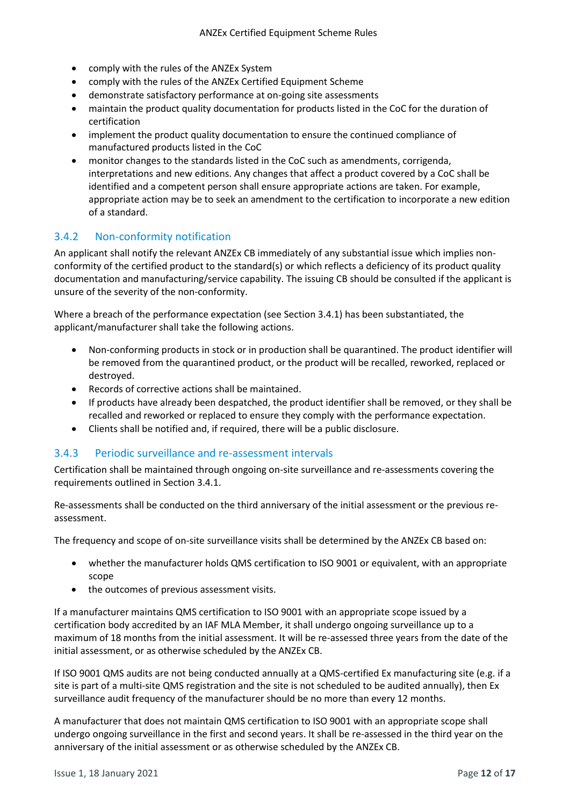- comply with the rules of the ANZEx System
- comply with the rules of the ANZEx Certified Equipment Scheme
- demonstrate satisfactory performance at on-going site assessments
- maintain the product quality documentation for products listed in the CoC for the duration of certification
- implement the product quality documentation to ensure the continued compliance of manufactured products listed in the CoC
- monitor changes to the standards listed in the CoC such as amendments, corrigenda, interpretations and new editions. Any changes that affect a product covered by a CoC shall be identified and a competent person shall ensure appropriate actions are taken. For example, appropriate action may be to seek an amendment to the certification to incorporate a new edition of a standard.

## 3.4.2 Non-conformity notification

An applicant shall notify the relevant ANZEx CB immediately of any substantial issue which implies nonconformity of the certified product to the standard(s) or which reflects a deficiency of its product quality documentation and manufacturing/service capability. The issuing CB should be consulted if the applicant is unsure of the severity of the non-conformity.

Where a breach of the performance expectation (see Section 3.4.1) has been substantiated, the applicant/manufacturer shall take the following actions.

- Non-conforming products in stock or in production shall be quarantined. The product identifier will be removed from the quarantined product, or the product will be recalled, reworked, replaced or destroyed.
- Records of corrective actions shall be maintained.
- If products have already been despatched, the product identifier shall be removed, or they shall be recalled and reworked or replaced to ensure they comply with the performance expectation.
- Clients shall be notified and, if required, there will be a public disclosure.

## 3.4.3 Periodic surveillance and re-assessment intervals

Certification shall be maintained through ongoing on-site surveillance and re-assessments covering the requirements outlined in Section 3.4.1.

Re-assessments shall be conducted on the third anniversary of the initial assessment or the previous reassessment.

The frequency and scope of on-site surveillance visits shall be determined by the ANZEx CB based on:

- whether the manufacturer holds QMS certification to ISO 9001 or equivalent, with an appropriate scope
- the outcomes of previous assessment visits.

If a manufacturer maintains QMS certification to ISO 9001 with an appropriate scope issued by a certification body accredited by an IAF MLA Member, it shall undergo ongoing surveillance up to a maximum of 18 months from the initial assessment. It will be re-assessed three years from the date of the initial assessment, or as otherwise scheduled by the ANZEx CB.

If ISO 9001 QMS audits are not being conducted annually at a QMS-certified Ex manufacturing site (e.g. if a site is part of a multi-site QMS registration and the site is not scheduled to be audited annually), then Ex surveillance audit frequency of the manufacturer should be no more than every 12 months.

A manufacturer that does not maintain QMS certification to ISO 9001 with an appropriate scope shall undergo ongoing surveillance in the first and second years. It shall be re-assessed in the third year on the anniversary of the initial assessment or as otherwise scheduled by the ANZEx CB.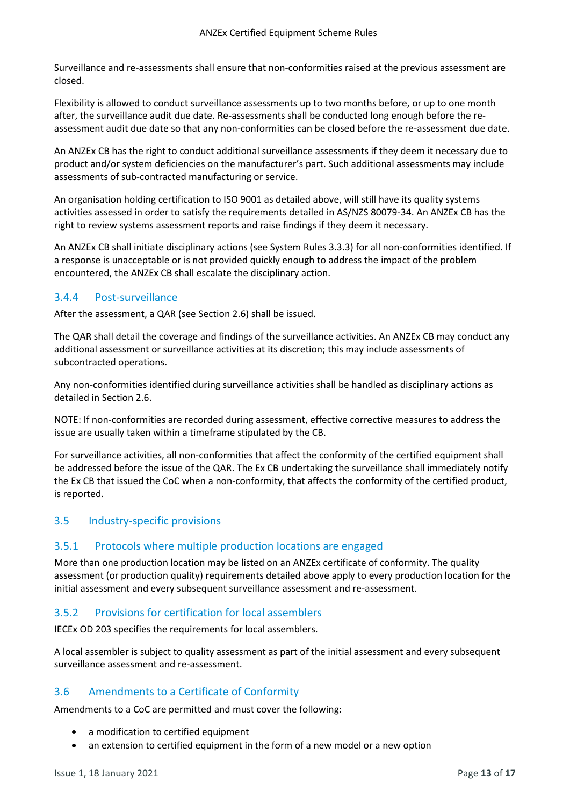Surveillance and re-assessments shall ensure that non-conformities raised at the previous assessment are closed.

Flexibility is allowed to conduct surveillance assessments up to two months before, or up to one month after, the surveillance audit due date. Re-assessments shall be conducted long enough before the reassessment audit due date so that any non-conformities can be closed before the re-assessment due date.

An ANZEx CB has the right to conduct additional surveillance assessments if they deem it necessary due to product and/or system deficiencies on the manufacturer's part. Such additional assessments may include assessments of sub-contracted manufacturing or service.

An organisation holding certification to ISO 9001 as detailed above, will still have its quality systems activities assessed in order to satisfy the requirements detailed in AS/NZS 80079-34. An ANZEx CB has the right to review systems assessment reports and raise findings if they deem it necessary.

An ANZEx CB shall initiate disciplinary actions (see System Rules 3.3.3) for all non-conformities identified. If a response is unacceptable or is not provided quickly enough to address the impact of the problem encountered, the ANZEx CB shall escalate the disciplinary action.

## 3.4.4 Post-surveillance

After the assessment, a QAR (see Section 2.6) shall be issued.

The QAR shall detail the coverage and findings of the surveillance activities. An ANZEx CB may conduct any additional assessment or surveillance activities at its discretion; this may include assessments of subcontracted operations.

Any non-conformities identified during surveillance activities shall be handled as disciplinary actions as detailed in Section 2.6.

NOTE: If non-conformities are recorded during assessment, effective corrective measures to address the issue are usually taken within a timeframe stipulated by the CB.

For surveillance activities, all non-conformities that affect the conformity of the certified equipment shall be addressed before the issue of the QAR. The Ex CB undertaking the surveillance shall immediately notify the Ex CB that issued the CoC when a non-conformity, that affects the conformity of the certified product, is reported.

## <span id="page-12-0"></span>3.5 Industry-specific provisions

## 3.5.1 Protocols where multiple production locations are engaged

More than one production location may be listed on an ANZEx certificate of conformity. The quality assessment (or production quality) requirements detailed above apply to every production location for the initial assessment and every subsequent surveillance assessment and re-assessment.

# 3.5.2 Provisions for certification for local assemblers

IECEx OD 203 specifies the requirements for local assemblers.

A local assembler is subject to quality assessment as part of the initial assessment and every subsequent surveillance assessment and re-assessment.

# <span id="page-12-1"></span>3.6 Amendments to a Certificate of Conformity

Amendments to a CoC are permitted and must cover the following:

- a modification to certified equipment
- an extension to certified equipment in the form of a new model or a new option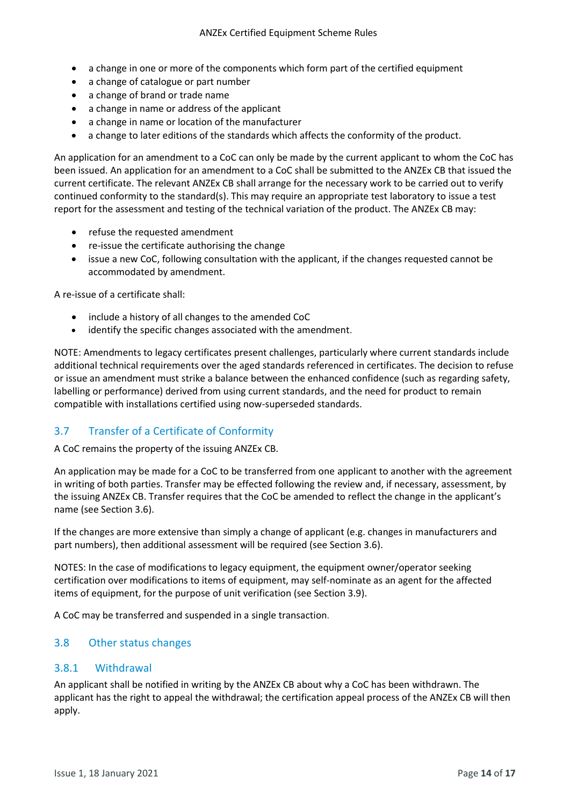- a change in one or more of the components which form part of the certified equipment
- a change of catalogue or part number
- a change of brand or trade name
- a change in name or address of the applicant
- a change in name or location of the manufacturer
- a change to later editions of the standards which affects the conformity of the product.

An application for an amendment to a CoC can only be made by the current applicant to whom the CoC has been issued. An application for an amendment to a CoC shall be submitted to the ANZEx CB that issued the current certificate. The relevant ANZEx CB shall arrange for the necessary work to be carried out to verify continued conformity to the standard(s). This may require an appropriate test laboratory to issue a test report for the assessment and testing of the technical variation of the product. The ANZEx CB may:

- refuse the requested amendment
- re-issue the certificate authorising the change
- issue a new CoC, following consultation with the applicant, if the changes requested cannot be accommodated by amendment.

A re-issue of a certificate shall:

- include a history of all changes to the amended CoC
- identify the specific changes associated with the amendment.

NOTE: Amendments to legacy certificates present challenges, particularly where current standards include additional technical requirements over the aged standards referenced in certificates. The decision to refuse or issue an amendment must strike a balance between the enhanced confidence (such as regarding safety, labelling or performance) derived from using current standards, and the need for product to remain compatible with installations certified using now-superseded standards.

# <span id="page-13-0"></span>3.7 Transfer of a Certificate of Conformity

A CoC remains the property of the issuing ANZEx CB.

An application may be made for a CoC to be transferred from one applicant to another with the agreement in writing of both parties. Transfer may be effected following the review and, if necessary, assessment, by the issuing ANZEx CB. Transfer requires that the CoC be amended to reflect the change in the applicant's name (see Section 3.6).

If the changes are more extensive than simply a change of applicant (e.g. changes in manufacturers and part numbers), then additional assessment will be required (see Section 3.6).

NOTES: In the case of modifications to legacy equipment, the equipment owner/operator seeking certification over modifications to items of equipment, may self-nominate as an agent for the affected items of equipment, for the purpose of unit verification (see Section 3.9).

A CoC may be transferred and suspended in a single transaction.

#### <span id="page-13-1"></span>3.8 Other status changes

#### 3.8.1 Withdrawal

An applicant shall be notified in writing by the ANZEx CB about why a CoC has been withdrawn. The applicant has the right to appeal the withdrawal; the certification appeal process of the ANZEx CB will then apply.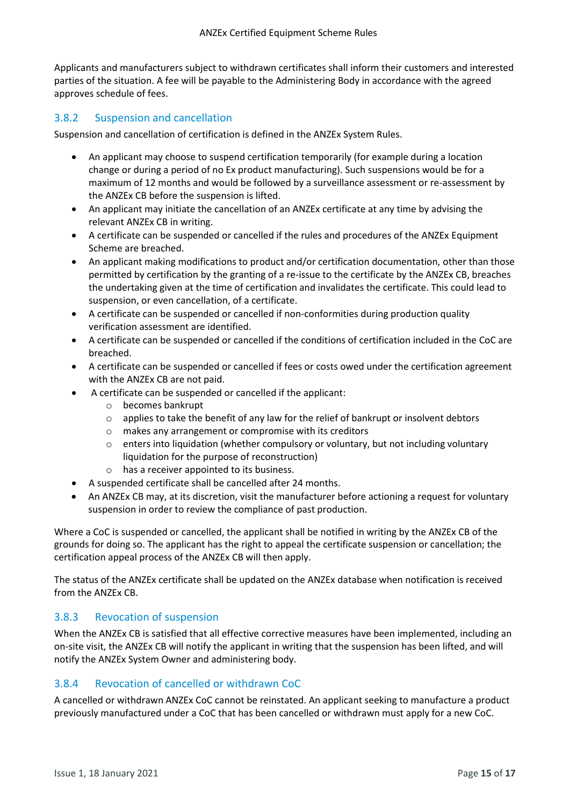Applicants and manufacturers subject to withdrawn certificates shall inform their customers and interested parties of the situation. A fee will be payable to the Administering Body in accordance with the agreed approves schedule of fees.

## 3.8.2 Suspension and cancellation

Suspension and cancellation of certification is defined in the ANZEx System Rules.

- An applicant may choose to suspend certification temporarily (for example during a location change or during a period of no Ex product manufacturing). Such suspensions would be for a maximum of 12 months and would be followed by a surveillance assessment or re-assessment by the ANZEx CB before the suspension is lifted.
- An applicant may initiate the cancellation of an ANZEx certificate at any time by advising the relevant ANZEx CB in writing.
- A certificate can be suspended or cancelled if the rules and procedures of the ANZEx Equipment Scheme are breached.
- An applicant making modifications to product and/or certification documentation, other than those permitted by certification by the granting of a re-issue to the certificate by the ANZEx CB, breaches the undertaking given at the time of certification and invalidates the certificate. This could lead to suspension, or even cancellation, of a certificate.
- A certificate can be suspended or cancelled if non-conformities during production quality verification assessment are identified.
- A certificate can be suspended or cancelled if the conditions of certification included in the CoC are breached.
- A certificate can be suspended or cancelled if fees or costs owed under the certification agreement with the ANZEx CB are not paid.
- A certificate can be suspended or cancelled if the applicant:
	- o becomes bankrupt
	- $\circ$  applies to take the benefit of any law for the relief of bankrupt or insolvent debtors
	- o makes any arrangement or compromise with its creditors
	- $\circ$  enters into liquidation (whether compulsory or voluntary, but not including voluntary liquidation for the purpose of reconstruction)
	- o has a receiver appointed to its business.
- A suspended certificate shall be cancelled after 24 months.
- An ANZEx CB may, at its discretion, visit the manufacturer before actioning a request for voluntary suspension in order to review the compliance of past production.

Where a CoC is suspended or cancelled, the applicant shall be notified in writing by the ANZEx CB of the grounds for doing so. The applicant has the right to appeal the certificate suspension or cancellation; the certification appeal process of the ANZEx CB will then apply.

The status of the ANZEx certificate shall be updated on the ANZEx database when notification is received from the ANZEx CB.

## 3.8.3 Revocation of suspension

When the ANZEx CB is satisfied that all effective corrective measures have been implemented, including an on-site visit, the ANZEx CB will notify the applicant in writing that the suspension has been lifted, and will notify the ANZEx System Owner and administering body.

## 3.8.4 Revocation of cancelled or withdrawn CoC

A cancelled or withdrawn ANZEx CoC cannot be reinstated. An applicant seeking to manufacture a product previously manufactured under a CoC that has been cancelled or withdrawn must apply for a new CoC.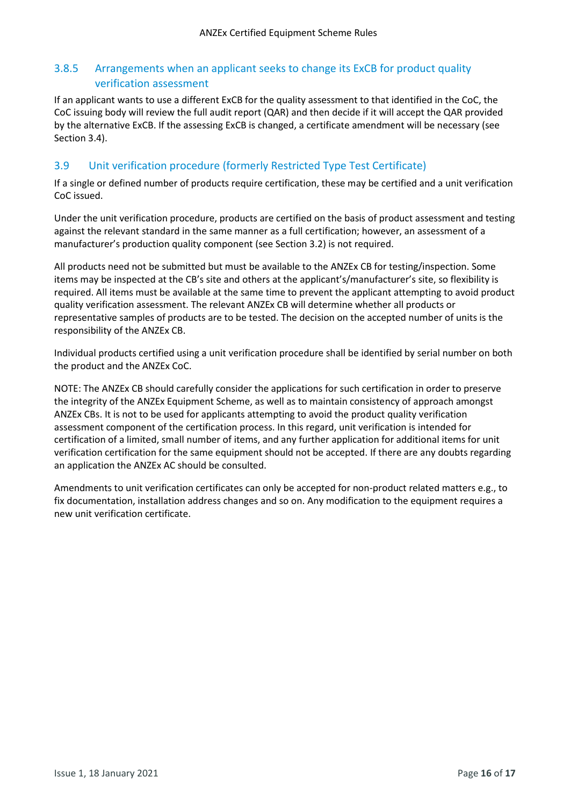# 3.8.5 Arrangements when an applicant seeks to change its ExCB for product quality verification assessment

If an applicant wants to use a different ExCB for the quality assessment to that identified in the CoC, the CoC issuing body will review the full audit report (QAR) and then decide if it will accept the QAR provided by the alternative ExCB. If the assessing ExCB is changed, a certificate amendment will be necessary (see Section 3.4).

# <span id="page-15-0"></span>3.9 Unit verification procedure (formerly Restricted Type Test Certificate)

If a single or defined number of products require certification, these may be certified and a unit verification CoC issued.

Under the unit verification procedure, products are certified on the basis of product assessment and testing against the relevant standard in the same manner as a full certification; however, an assessment of a manufacturer's production quality component (see Section 3.2) is not required.

All products need not be submitted but must be available to the ANZEx CB for testing/inspection. Some items may be inspected at the CB's site and others at the applicant's/manufacturer's site, so flexibility is required. All items must be available at the same time to prevent the applicant attempting to avoid product quality verification assessment. The relevant ANZEx CB will determine whether all products or representative samples of products are to be tested. The decision on the accepted number of units is the responsibility of the ANZEx CB.

Individual products certified using a unit verification procedure shall be identified by serial number on both the product and the ANZEx CoC.

NOTE: The ANZEx CB should carefully consider the applications for such certification in order to preserve the integrity of the ANZEx Equipment Scheme, as well as to maintain consistency of approach amongst ANZEx CBs. It is not to be used for applicants attempting to avoid the product quality verification assessment component of the certification process. In this regard, unit verification is intended for certification of a limited, small number of items, and any further application for additional items for unit verification certification for the same equipment should not be accepted. If there are any doubts regarding an application the ANZEx AC should be consulted.

Amendments to unit verification certificates can only be accepted for non-product related matters e.g., to fix documentation, installation address changes and so on. Any modification to the equipment requires a new unit verification certificate.